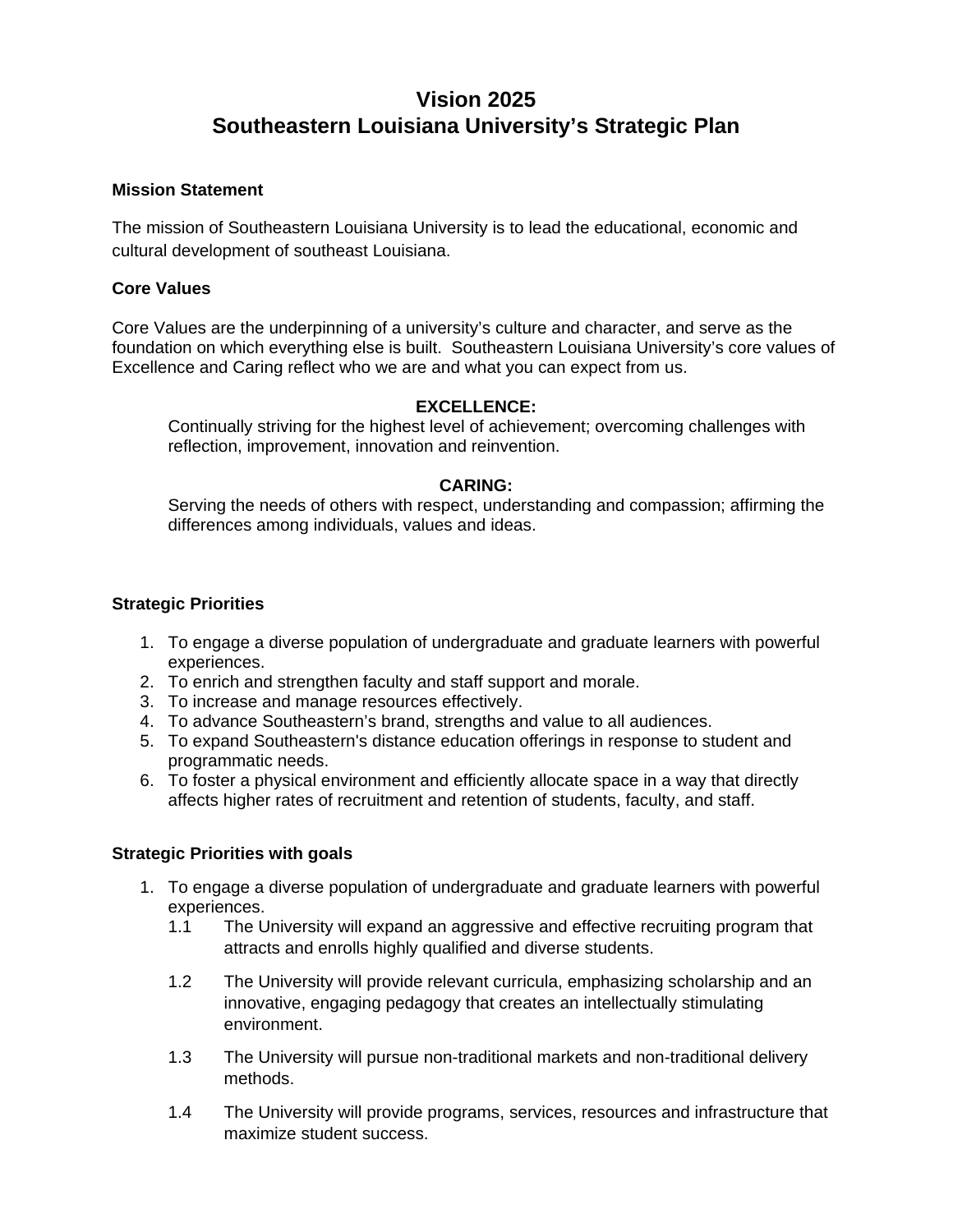# **Vision 2025 Southeastern Louisiana University's Strategic Plan**

## **Mission Statement**

The mission of Southeastern Louisiana University is to lead the educational, economic and cultural development of southeast Louisiana.

#### **Core Values**

Core Values are the underpinning of a university's culture and character, and serve as the foundation on which everything else is built. Southeastern Louisiana University's core values of Excellence and Caring reflect who we are and what you can expect from us.

## **EXCELLENCE:**

 Continually striving for the highest level of achievement; overcoming challenges with reflection, improvement, innovation and reinvention.

## **CARING:**

 Serving the needs of others with respect, understanding and compassion; affirming the differences among individuals, values and ideas.

## **Strategic Priorities**

- 1. To engage a diverse population of undergraduate and graduate learners with powerful experiences.
- 2. To enrich and strengthen faculty and staff support and morale.
- 3. To increase and manage resources effectively.
- 4. To advance Southeastern's brand, strengths and value to all audiences.
- 5. To expand Southeastern's distance education offerings in response to student and programmatic needs.
- 6. To foster a physical environment and efficiently allocate space in a way that directly affects higher rates of recruitment and retention of students, faculty, and staff.

#### **Strategic Priorities with goals**

- 1. To engage a diverse population of undergraduate and graduate learners with powerful experiences.
	- 1.1 The University will expand an aggressive and effective recruiting program that attracts and enrolls highly qualified and diverse students.
	- 1.2 The University will provide relevant curricula, emphasizing scholarship and an innovative, engaging pedagogy that creates an intellectually stimulating environment.
	- 1.3 The University will pursue non-traditional markets and non-traditional delivery methods.
	- 1.4 The University will provide programs, services, resources and infrastructure that maximize student success.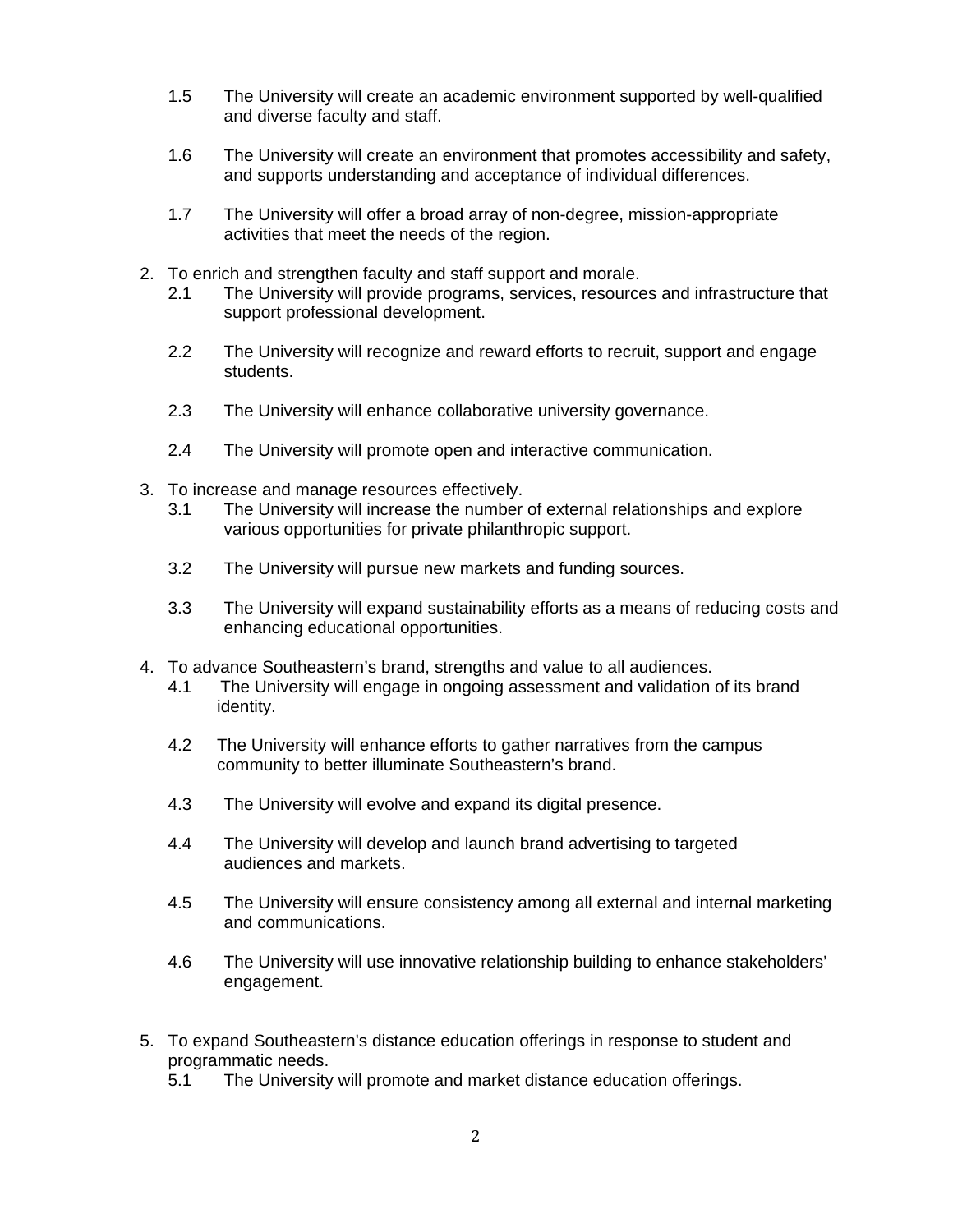- 1.5 The University will create an academic environment supported by well-qualified and diverse faculty and staff.
- 1.6 The University will create an environment that promotes accessibility and safety, and supports understanding and acceptance of individual differences.
- 1.7 The University will offer a broad array of non-degree, mission-appropriate activities that meet the needs of the region.
- 2. To enrich and strengthen faculty and staff support and morale.
	- 2.1 The University will provide programs, services, resources and infrastructure that support professional development.
	- 2.2 The University will recognize and reward efforts to recruit, support and engage students.
	- 2.3 The University will enhance collaborative university governance.
	- 2.4 The University will promote open and interactive communication.
- 3. To increase and manage resources effectively.
	- 3.1 The University will increase the number of external relationships and explore various opportunities for private philanthropic support.
	- 3.2 The University will pursue new markets and funding sources.
	- 3.3 The University will expand sustainability efforts as a means of reducing costs and enhancing educational opportunities.
- 4. To advance Southeastern's brand, strengths and value to all audiences.
	- 4.1 The University will engage in ongoing assessment and validation of its brand identity.
	- 4.2 The University will enhance efforts to gather narratives from the campus community to better illuminate Southeastern's brand.
	- 4.3 The University will evolve and expand its digital presence.
	- 4.4 The University will develop and launch brand advertising to targeted audiences and markets.
	- 4.5 The University will ensure consistency among all external and internal marketing and communications.
	- 4.6 The University will use innovative relationship building to enhance stakeholders' engagement.
- 5. To expand Southeastern's distance education offerings in response to student and programmatic needs.
	- 5.1 The University will promote and market distance education offerings.